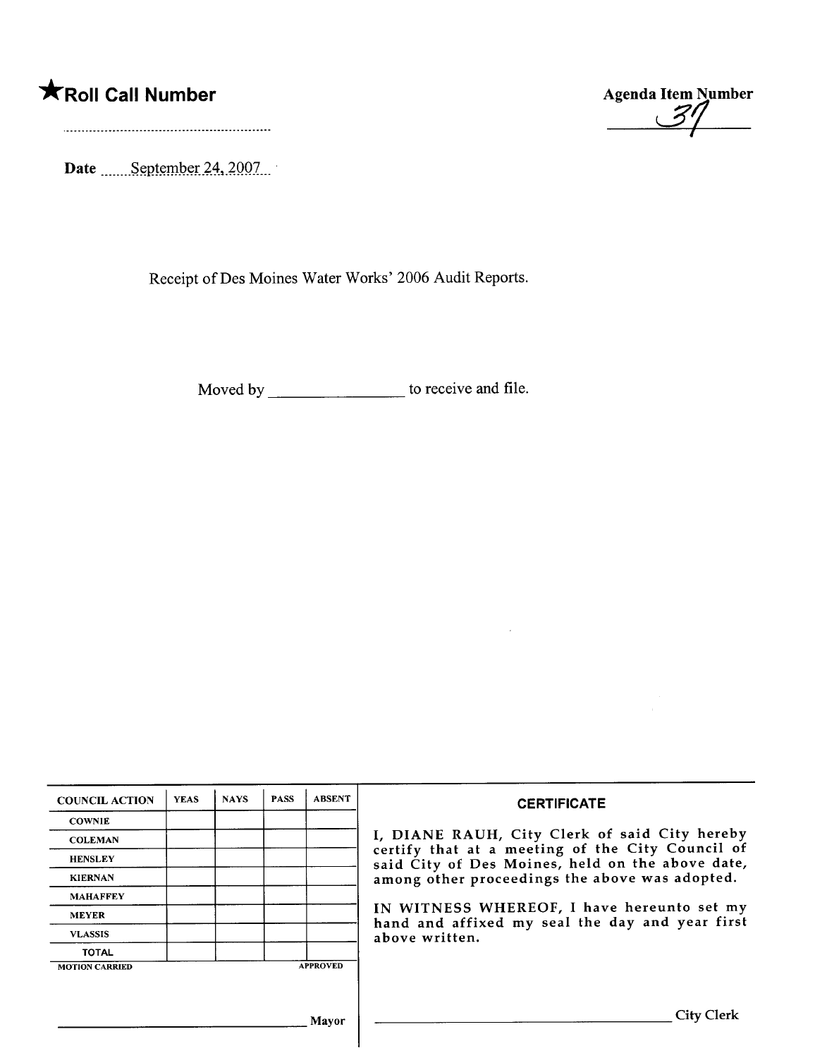## \*Roll Call Number Agenda Item Number

, 7

Date \_\_\_\_\_\_September 24, 2007

Receipt of Des Moines Water Works' 2006 Audit Reports.

Moved by \_\_\_\_\_\_\_\_\_\_\_\_\_\_\_\_\_\_\_\_\_\_\_ to receive and file.

| <b>COUNCIL ACTION</b> | <b>YEAS</b> | <b>NAYS</b> | <b>PASS</b> | <b>ABSENT</b>   | <b>CERTIFICATE</b>                                                                                   |
|-----------------------|-------------|-------------|-------------|-----------------|------------------------------------------------------------------------------------------------------|
| <b>COWNIE</b>         |             |             |             |                 |                                                                                                      |
| <b>COLEMAN</b>        |             |             |             |                 | I, DIANE RAUH, City Clerk of said City hereby                                                        |
| <b>HENSLEY</b>        |             |             |             |                 | certify that at a meeting of the City Council of<br>said City of Des Moines, held on the above date, |
| <b>KIERNAN</b>        |             |             |             |                 | among other proceedings the above was adopted.                                                       |
| <b>MAHAFFEY</b>       |             |             |             |                 |                                                                                                      |
| <b>MEYER</b>          |             |             |             |                 | IN WITNESS WHEREOF, I have hereunto set my<br>hand and affixed my seal the day and year first        |
| <b>VLASSIS</b>        |             |             |             |                 | above written.                                                                                       |
| <b>TOTAL</b>          |             |             |             |                 |                                                                                                      |
| <b>MOTION CARRIED</b> |             |             |             | <b>APPROVED</b> |                                                                                                      |
|                       |             |             |             |                 |                                                                                                      |
|                       |             |             |             | Mavor           | <b>City Clerk</b>                                                                                    |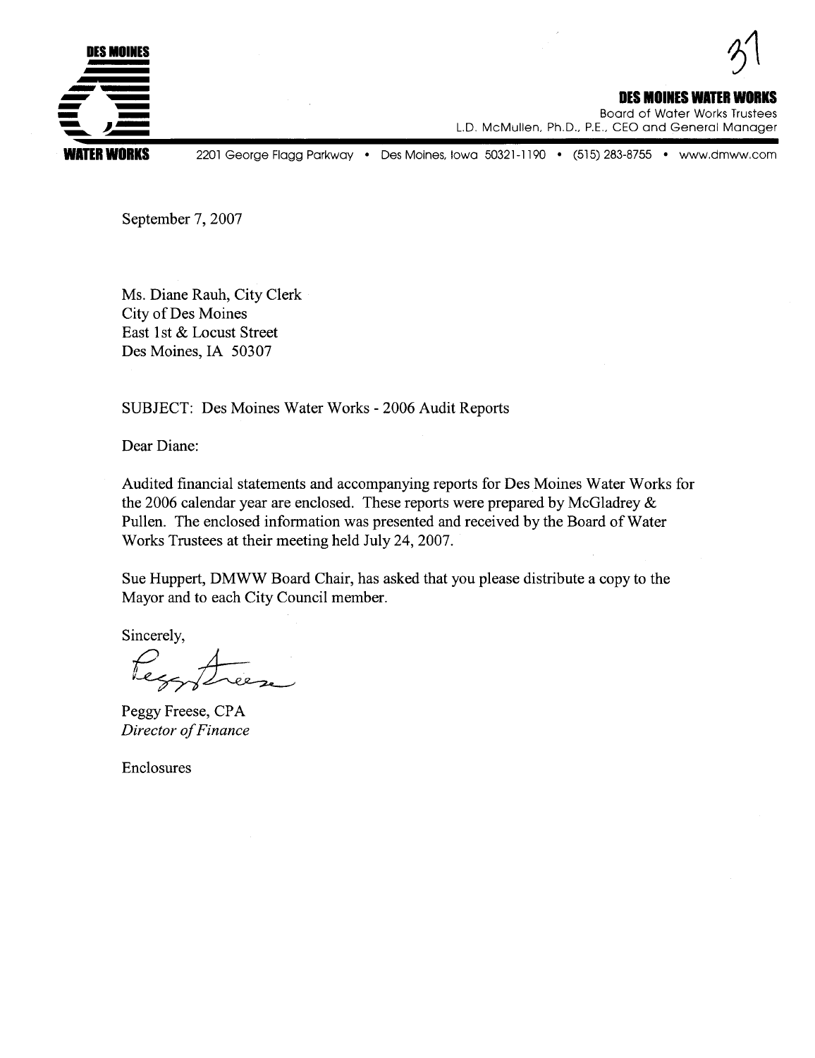

DES MOINES WATER V Board of Water Works Trustees

L.D. McMullen, Ph.D., P.E., CEO and General Manager

2201 George Flagg Parkway · Des Moines, Iowa 50321-1190 · (515) 283-8755 · www.dmww.com

September 7, 2007

Ms. Diane Rauh, City Clerk City of Des Moines East 1st & Locust Street Des Moines, IA 50307

SUBJECT: Des Moines Water Works - 2006 Audit Reports

Dear Diane:

Audited financial statements and accompanying reports for Des Moines Water Works for the 2006 calendar year are enclosed. These reports were prepared by McGladrey & Pullen. The enclosed information was presented and received by the Board of Water Works Trustees at their meeting held July 24,2007.

Sue Huppert, DMWW Board Chair, has asked that you please distribute a copy to the Mayor and to each City Council member.

Sincerely,

incerely,<br>Lezz<br>eoov Fre Fier,

Peggy Freese, CPA Director of Finance

Enclosures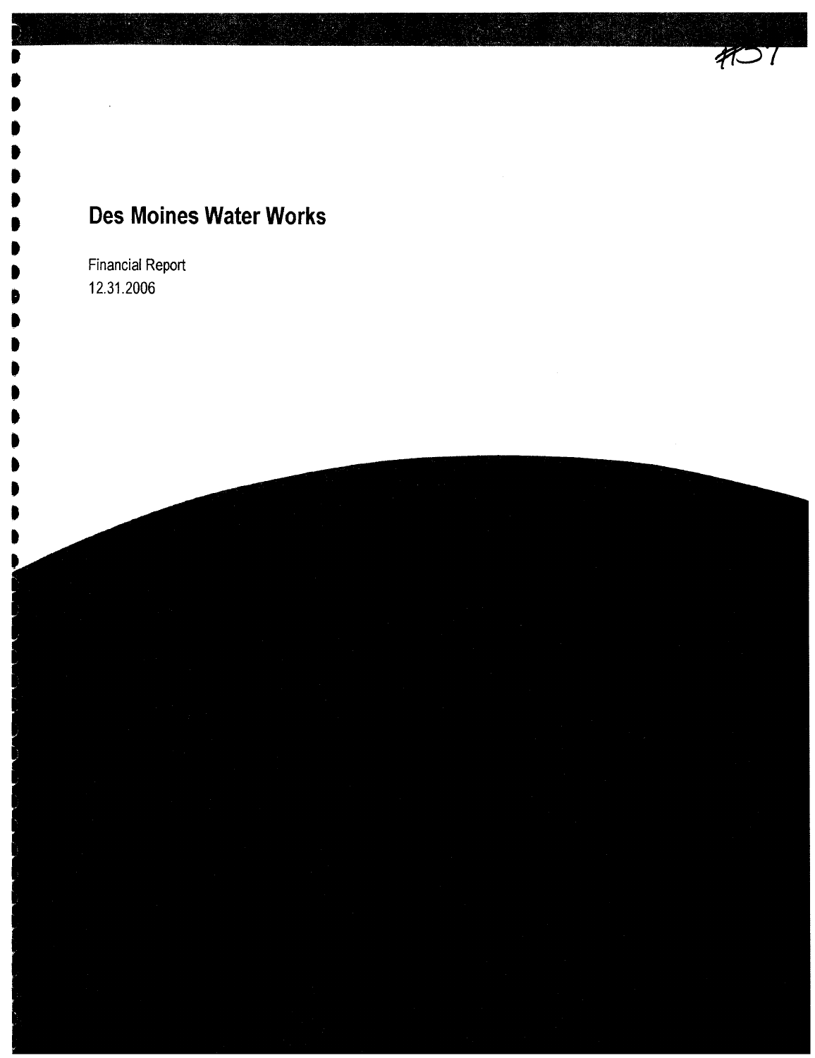$407$ 

Financial Report 12.31.2006

. . . . . . . I I . . . . . . . . . . . . .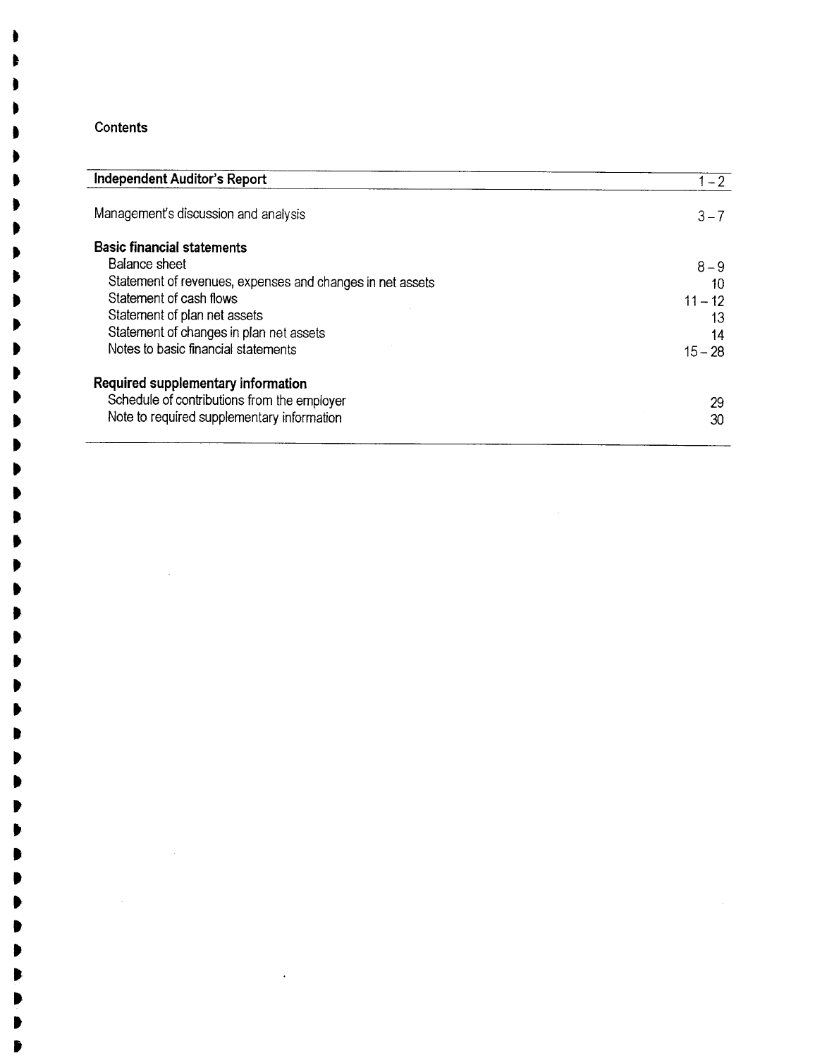## **Contents**

 $\mathcal{L}$ 

| Independent Auditor's Report                              | $1 - 2$   |
|-----------------------------------------------------------|-----------|
| Management's discussion and analysis                      | $3 - 7$   |
| <b>Basic financial statements</b>                         |           |
| Balance sheet                                             | $8 - 9$   |
| Statement of revenues, expenses and changes in net assets | 10        |
| Statement of cash flows                                   | $11 - 12$ |
| Statement of plan net assets                              | 13        |
| Statement of changes in plan net assets                   | 14        |
| Notes to basic financial statements                       | $15 - 28$ |
| Required supplementary information                        |           |
| Schedule of contributions from the employer               | 29        |
| Note to required supplementary information                | 30        |

t . . . ~ . . .

. . . . . . . . . . t t t . . l l . . .

It .

It . .

It , t

It It l , t ,  $\bar{z}$ 

 $\ddot{\phantom{a}}$ 

.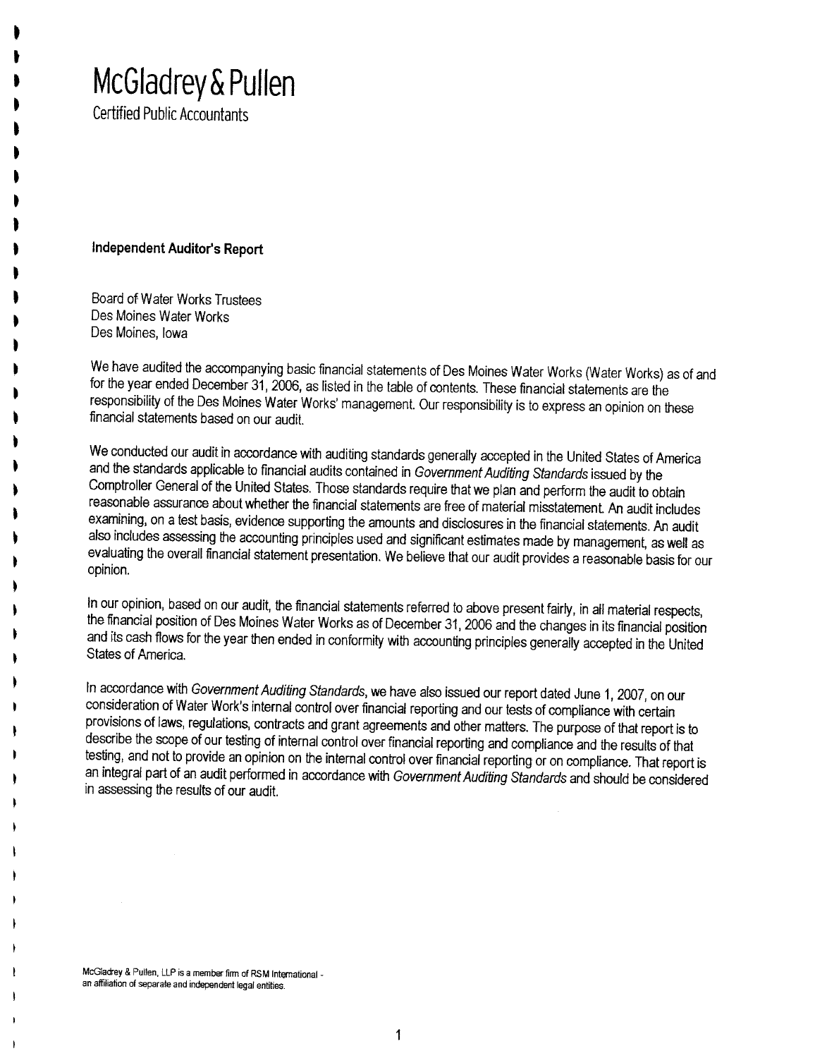# McGladrey & Pullen

Certified Public Accountants

t l . . . . . . . . . . . t . . . . . . . ~ . . . t . ~

## Independent Auditor's Report

Board of Water Works Trustees Des Moines Water Works Des Moines, Iowa

We have audited the accompanying basic financial statements of Des Moines Water Works (Water Works) as of and for the year ended December 31, 2006, as listed in the table of contents. These financial statements are the responsibilty of the Des Moines Water Works' management. Our responsibilty is to express an opinion on these financíal statements based on our audit.

We conducted our audit in accordance with auditing standards generally accepted in the United States of America and the standards applicable to financial audits contained in Government Auditing Standards issued by the Comptroller General of the United States. Those standards require that we plan and perform the audit to obtain reasonable assurance about whether the financial statements are free of material misstatement. An audit includes examining, on a test basis, evidence supporting the amounts and disclosures in the financial statements. An audit also includes assessing the accounting principles used and significant estimates made by management, as well as evaluating the overall financial statement presentation. We believe that our audit provides a reasonable basis for our opinion.

In our opinion, based on our audit, the financial statements referred to above present fairly, in all material respects, the financial positon of Des Moines Water Works as of December 31,2006 and the changes in its financial position and its cash flows for the year then ended in conformity with accounting principles generally accepted in the United States of America.

In accordance with Government Auditing Standards, we have also issued our report dated June 1, 2007, on our consideration of Water Work's internal control over financial reporting and our tests of compliance with certain provisions of laws, regulations, contracts and grant agreements and other matters. The purpose of that report is to describe the scope of our testing of internal control over financial reporting and compliance and the results of that testing, and not to provide an opinion on the internal control over financial reporting or on compliance. That report is an integral part of an audit performed in accordance with Government Auditing Standards and should be considered in assessing the results of our audit.

McGladrey & Pullen, LLP is a member firm of RSM International an affiliation of separate and independent legal entities.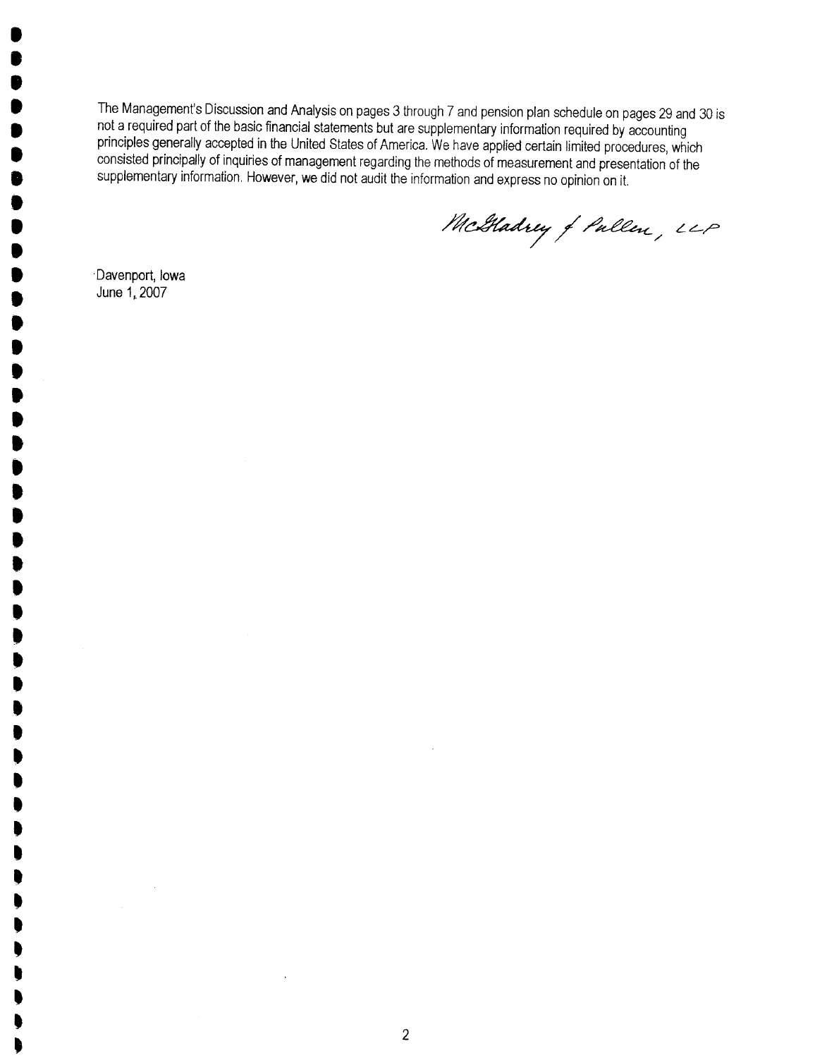The Management's Discussion and Analysis on pages 3 through 7 and pension plan schedule on pages 29 and 30 is not a required part of the basic financial statements but are supplementary information required by accounting principles generally accepted in the United States of America. We have applied certain limited procedures, which consisted principally of inquiries of management regarding the methods of measurement and presentation of the supplementary information. However, we did not audit the information and express no opinion on it.

McGladrey of Pullen, LLP

. Davenport, Iowa June 1, 2007

. **. .** .<br>! .<br>. .<br>! **.** .<br>. .<br>. .<br>! .<br>! .<br>! .<br>. **. . . .**<br>• **.** .<br>. **.** .<br>.<br>. .<br>! .<br>. .<br>D .<br>! .<br>! ,<br>, , , . . . .<br>D . . . . . . . . . t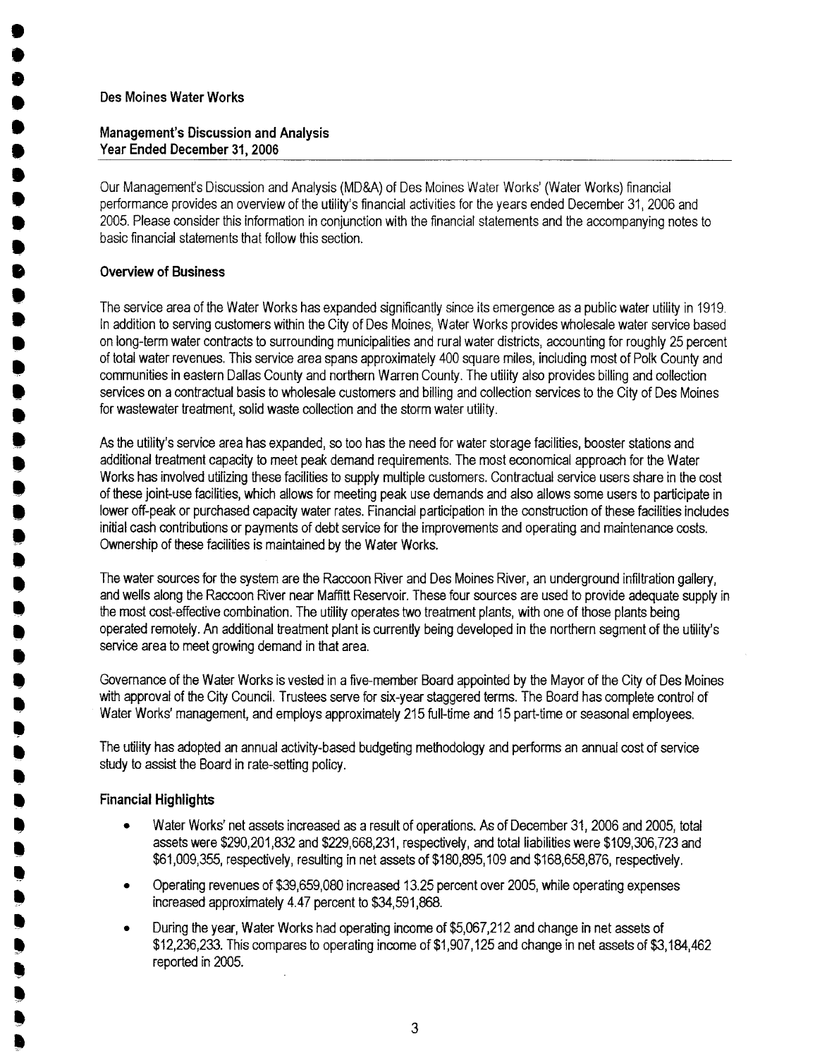. **.** .<br>. .<br>. .<br>. .<br>. **.** .<br>. **.** .<br>! **.** .<br>! **. .**<br>. **.**<br>. **.**<br>. **.**<br>. **. . . .** .<br>. **.** .<br>! .<br>. .<br>! .<br>! ,<br>! .<br>. ,<br>! .<br>8 .<br>! .<br>! **.**<br>! ,<br>! .<br>! !! ,<br>! .<br>! .<br>! ,<br>! ,<br>! .<br>!

## Management's Discussion and Analysis Year Ended December 31, 2006

Our Managements Discussion and Analysis (MD&A) of Des Moines Water Works' (Water Works) financial performance provides an overview of the utility's financial activities for the years ended December 31, 2006 and 2005. Please consider this information in conjunction with the financial statements and the accompanying notes to basic financial statements that follow this section.

## Overview of Business

The service area of the Water Works has expanded significantly since its emergence as a public water utility in 1919. In addition to serving customers within the City of Des Moines, Water Works provides wholesale water service based on long-term water contracts to surrounding municipalities and rural water districts, accounting for roughly 25 percent of total water revenues. This service area spans approximately 400 square miles, including most of Polk County and communities in eastern Dallas County and northern Warren County. The utilty also provides billng and collection services on a contractual basis to wholesale customers and billing and collection services to the City of Des Moines for wastewater treatment, solid waste collection and the storm water utility.

As the utilty's service area has expanded, so too has the need for water storage facilities, booster stations and additional treatment capacity to meet peak demand requirements. The most economical approach for the Water Works has involved utilizing these facilities to supply multiple customers. Contractual service users share in the cost of these joint-use facilities, which allows for meeting peak use demands and also allows some users to partcipate in lower off-peak or purchased capacity water rates. Financial participation in the construction of these facilities includes initial cash contributions or payments of debt service for the improvements and operating and maintenance costs. Ownership of these facilities is maintained by the Water Works.

The water sources for the system are the Raccoon River and Des Moines River, an underground infiltration gallery, and wells along the Raccon River near Mafftt Reservoir. These four sources are used to provide adequate supply in the most cost-effective combination. The utilty operates two treatment plants, with one of those plants being operated remotely. An additional treatment plant is currently being developed in the northern segment of the utilitys service area to meet growing demand in that area.

Governance of the Water Works is vested in a five-member Board appointed by the Mayor of the City of Des Moines with approval of the City Council. Trustees serve for six-year staggered terms. The Board has complete control of Water Works' management, and employs approximately 215 full-time and 15 part-time or seasonal employees.

The utility has adopted an annual activity-based budgeting methodology and performs an annual cost of service study to assist the Board in rate-setting policy.

## Financial Highlight

- · Water Works' net assets increased as a result of operations. As of December 31, 2006 and 2005, total assets were \$290,201,832 and \$229,668,231, respectively, and total liabilities were \$109,306,723 and \$61,009,355, respectively, resulting in net assets of \$180,895, 109 and \$168,658,876, respectively.
- . Operating revenues of \$39,659,080 increased 13.25 percent over 2005, while operating expenses increased approximately 4.47 percent to \$34,591,868.
- . During the year, Water Works had operating income of \$5,067,212 and change in net assets of \$12,236,233. This compares to operating income of \$1,907,125 and change in net assts of \$3,184,462 reported in 2005.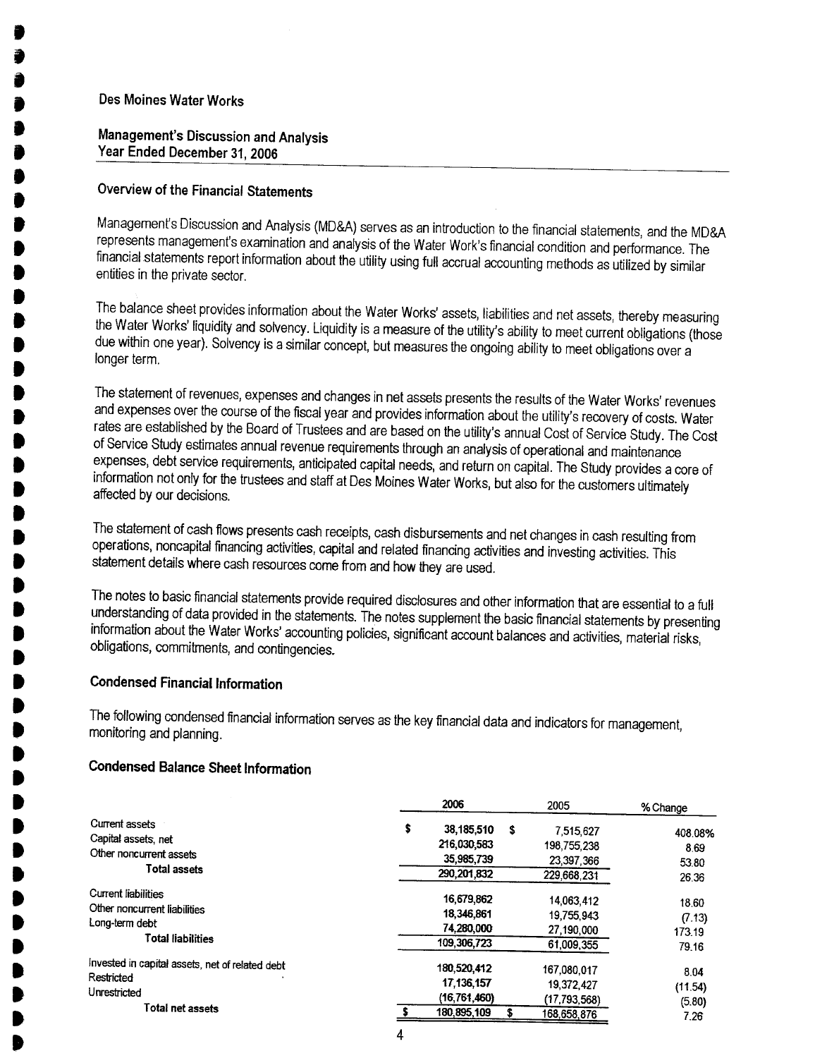.

I .<br>. .<br>. .<br>. .<br>. **.** ,<br>) **. . . .** .<br>. **. . . .** .<br>. .<br>. **.** .<br>. .<br>. .<br>. .<br>. .<br>. .<br>. ,<br>) ,<br>) ,<br>) **.** .<br>. **.** ,<br>) ,<br>) **. . . .**<br>. **. . . .**<br>. **.** 

## Management's Discussion and Analysis Year Ended December 31,2006

## Overview of the Financial Statements

Managements Discussion and Analysis (MD&A) serves as an introduction to the financial statements, and the MD&A represents management's examination and analysis of the Water Work's financial condition and performance. The financial statements report information about the utility using full accrual accounting methods as utilized by similar entities in the private sector.

The balance sheet provides information about the Water Works' assets, liabilities and net assets, thereby measuring the Water Works' liquidity and solvency. Liquidity is a measure of the utility's ability to meet current obligations (those due within one year). Solvency is a similar concept, but measures the ongoing abilty to meet obligations over a longer term.

The statement of revenues, expenses and changes in net assets presents the results of the Water Works' revenues and expenses over the course of the fiscal year and provides information about the utilty's recovery of costs. Water rates are established by the Board of Trustees and are based on the utilty's annual Cost of Service Study. The Cost of Service Study estimates annual revenue requirements through an analysis of operational and maintenance expenses, debt service requirements, anticipated capital needs, and return on capital. The Study provides a core of information not only for the trustees and staff at Des Moines Water Works, but also for the customers ultimately affected by our decisions.

The statement of cash flows presents cash receipts, cash disbursements and net changes in cash resulting from operations, noncapital financing activities, capital and related financing activities and investing activities. This statement details where cash resources come from and how they are used.

The notes to basic financial statements provide required disclosures and other information that are essential to a full understanding of data provided in the statements. The notes supplement the basic financial statements by presenting information about the Water Works' accounting policies, significant accunt balances and activities, material risks, obligations, commitments, and contingencies.

## Condensed Financial Information

The following condensed financial information serves as the key financial data and indicators for management, monitoring and planning.

## Condensed Balance Sheet Information

|                                                                                                          | 2006                                                           |   | 2005                                                     | % Change                           |
|----------------------------------------------------------------------------------------------------------|----------------------------------------------------------------|---|----------------------------------------------------------|------------------------------------|
| Current assets<br>Capital assets, net<br>Other noncurrent assets<br><b>Total assets</b>                  | \$<br>38,185,510<br>216,030,583<br>35,985,739<br>290, 201, 832 | s | 7,515,627<br>198,755,238<br>23,397,366<br>229.668.231    | 408.08%<br>8.69<br>53.80<br>26.36  |
| <b>Current liabilities</b><br>Other noncurrent liabilities<br>Long-term debt<br><b>Total liabilities</b> | 16,679.862<br>18,346.861<br>74.280,000<br>109.306,723          |   | 14.063.412<br>19,755,943<br>27,190,000<br>61,009,355     | 18.60<br>(7.13)<br>173.19<br>79.16 |
| Invested in capital assets, net of related debt<br>Restricted<br>Unrestricted<br>Total net assets        | 180,520,412<br>17, 136, 157<br>(16, 761, 460)<br>180, 895, 109 |   | 167.080.017<br>19,372,427<br>(17,793,568)<br>168,658,876 | 8.04<br>(11.54)<br>(5.80)<br>7.26  |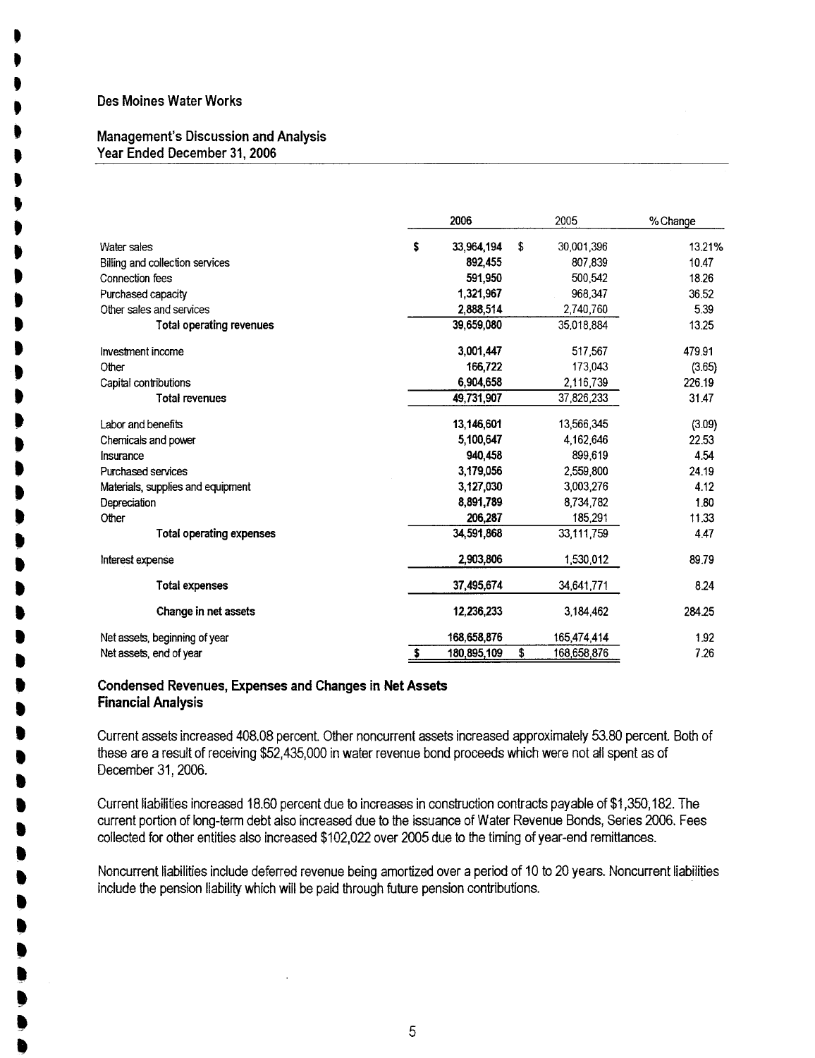. . . . . . , , . , . . . . . **.** . . . . . . .<br>D .<br>. .<br>1 . .<br>1 . .<br>. .<br>. .<br>. .<br>. .<br>. .<br>. .<br>. .<br>. .<br>. . .<br>! .<br>! .<br>! ,<br>! ,<br>.

#### Management's Discussion and Analysis Year Ended December 31,2006

|                                   |    | 2006        | 2005              | % Change |
|-----------------------------------|----|-------------|-------------------|----------|
| Water sales                       | \$ | 33,964,194  | \$<br>30,001,396  | 13.21%   |
| Billing and collection services   |    | 892,455     | 807.839           | 10.47    |
| Connection fees                   |    | 591,950     | 500,542           | 18.26    |
| Purchased capacity                |    | 1,321,967   | 968,347           | 36.52    |
| Other sales and services          |    | 2,888,514   | 2,740,760         | 5.39     |
| Total operating revenues          |    | 39,659,080  | 35,018,884        | 13.25    |
| Investment income                 |    | 3,001,447   | 517,567           | 479.91   |
| Other                             |    | 166,722     | 173,043           | (3.65)   |
| Capital contributions             |    | 6.904.658   | 2,116,739         | 226.19   |
| <b>Total revenues</b>             |    | 49,731,907  | 37,826,233        | 31.47    |
| Labor and benefits                |    | 13,146,601  | 13,566,345        | (3.09)   |
| Chemicals and power               |    | 5,100,647   | 4,162,646         | 22.53    |
| Insurance                         |    | 940.458     | 899.619           | 4.54     |
| Purchased services                |    | 3,179,056   | 2,559,800         | 24.19    |
| Materials, supplies and equipment |    | 3,127,030   | 3,003,276         | 4.12     |
| Depreciation                      |    | 8,891,789   | 8,734,782         | 1.80     |
| Other                             |    | 206,287     | 185,291           | 11.33    |
| <b>Total operating expenses</b>   |    | 34,591,868  | 33,111,759        | 4.47     |
| Interest expense                  |    | 2,903,806   | 1,530,012         | 89.79    |
| Total expenses                    |    | 37,495,674  | 34,641,771        | 8.24     |
| Change in net assets              |    | 12,236,233  | 3,184,462         | 284.25   |
| Net assets, beginning of year     |    | 168,658,876 | 165,474,414       | 1.92     |
| Net assets, end of year           | s  | 180,895,109 | \$<br>168.658,876 | 7.26     |

#### Condensed Revenues, Expenses and Changes in Net Assets Financial Analysis

Current assets increased 408.08 percent. Other noncurrent assets increased approximately 53.80 perænt. Both of these are a result of receiving \$52,435,000 in water revenue bond proæeds which were not all spent as of Deæmber 31,2006.

Current liabilities increased 18.60 percent due to increases in construction contracts payable of \$1 ,350,182. The current portion of fang-term debt also increased due to the issuance of Water Revenue Bonds, Series 2006. Fees collected for other entities also increased \$102,022 over 2005 due to the timing of year-end remittanæs.

Noncurrent liabilties include deferred revenue being amortized over a period of 10 to 20 years. Noncurrent liabilities include the pension liability which wil be paid through future pension contributions.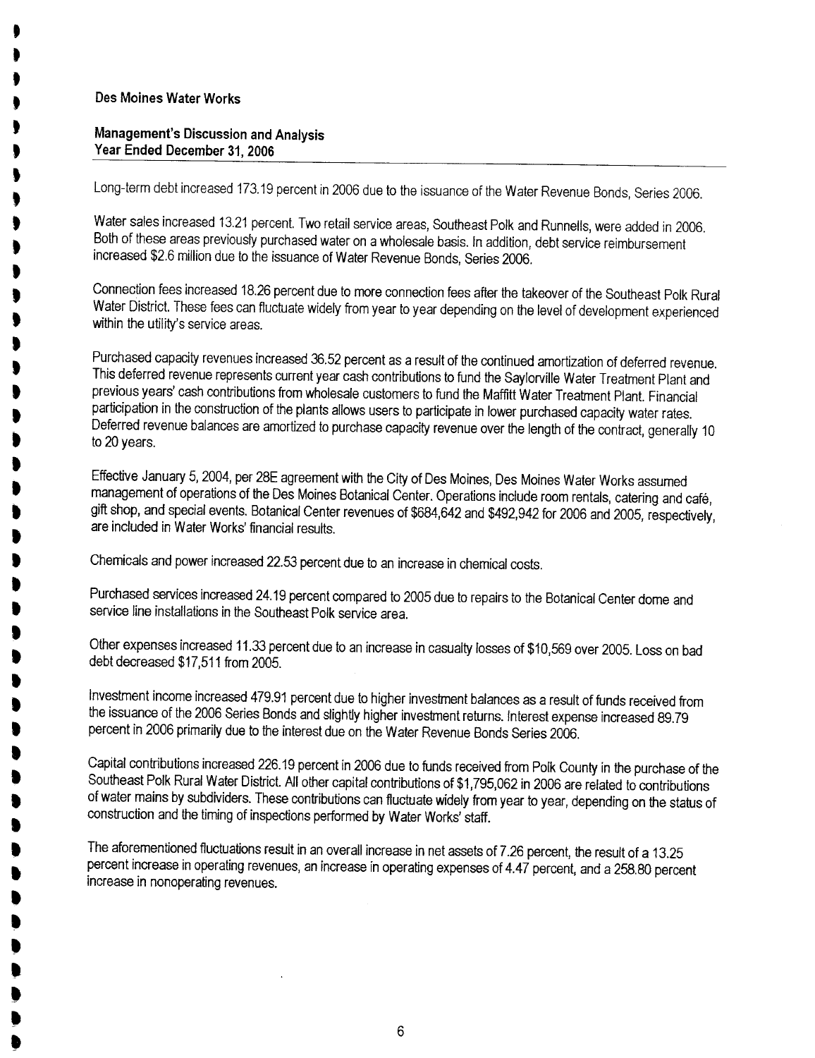. . t t t t t t . . . . . . . . t . t t . t t .<br>D .<br>D .<br>D .<br>. . .<br>D **,** .<br>. .<br>. . . . .<br>. . . . . . . .

### Management's Discussion and Analysis Year Ended December 31,2006

Long-term debt increased 173.19 percent in 2006 due to the issuance of the Water Revenue Bonds, Series 2006.

Water sales increased 13.21 percent. Two retail service areas, Southeast Polk and Runnells, were added in 2006. Both of these areas previously purchased water on a wholesale basis. In addition, debt service reimbursement increased \$2.6 milion due to the issuance of Water Revenue Bonds, Series 2006.

Connection fees increased 18.26 percent due to more connection fees after the takeover of the Southeast Polk Rural Water District. These fees can fluctuate widely from year to year depending on the level of development experienced within the utility's service areas.

Purchased capacity revenues increased 36.52 percent as a result of the continued amortization of deferred revenue. This deferred revenue represents current year cash contributions to fund the Saylorvile Water Treatment Plant and previous years' cash contributions from wholesale customers to fund the Mafftt Water Treatment Plant. Financial participation in the construction of the plants allows users to participate in lower purchased capacity water rates. Deferred revenue balances are amortized to purchase capacity revenue over the length of the contract, generally 10 to 20 years.

Effective January 5, 2004, per 28E agreement with the City of Des Moines, Des Moines Water Works assumed management of operations of the Des Moines Botanical Center. Operations include room rentals, catering and café, gift shop, and special events. Botanical Center revenues of \$684,642 and \$492,942 for 2006 and 2005, respectively, are included in Water Works' financial results.

Chemicals and power increased 22.53 percent due to an increase in chemical costs.

Purchased services increased 24.19 percent compared to 2005 due to repairs to the Botanical Center dome and service line installations in the Southeast Polk service area.

Other expenses increased 11.33 percent due to an increase in casualty losses of \$10,569 over 2005. Loss on bad debt decreased \$17,511 from 2005.

Investment income increased 479.91 percent due to higher investment balances as a result of funds received from the issuance of the 2006 Series Bonds and slightly higher investment returns. Interest expense increased 89.79 percent in 2006 primarily due to the interest due on the Water Revenue Bonds Series 2006.

Capital contrbutions increased 226.19 percent in 2006 due to funds received from Polk County in the purchase of the Southeast Polk Rural Water District. All other capital contributions of \$1,795,062 in 2006 are related to contributions of water mains by subdividers. These contributions can fluctuate widely from year to year, depending on the status of construction and the timing of inspections performed by Water Works' staff.

The aforementioned fluctuations result in an overall increase in net assets of 7.26 percent, the result of a 13.25 percent increase in operating revenues, an increase in operating expenses of 4.47 percent, and a 258.80 percent increase in nonoperating revenues.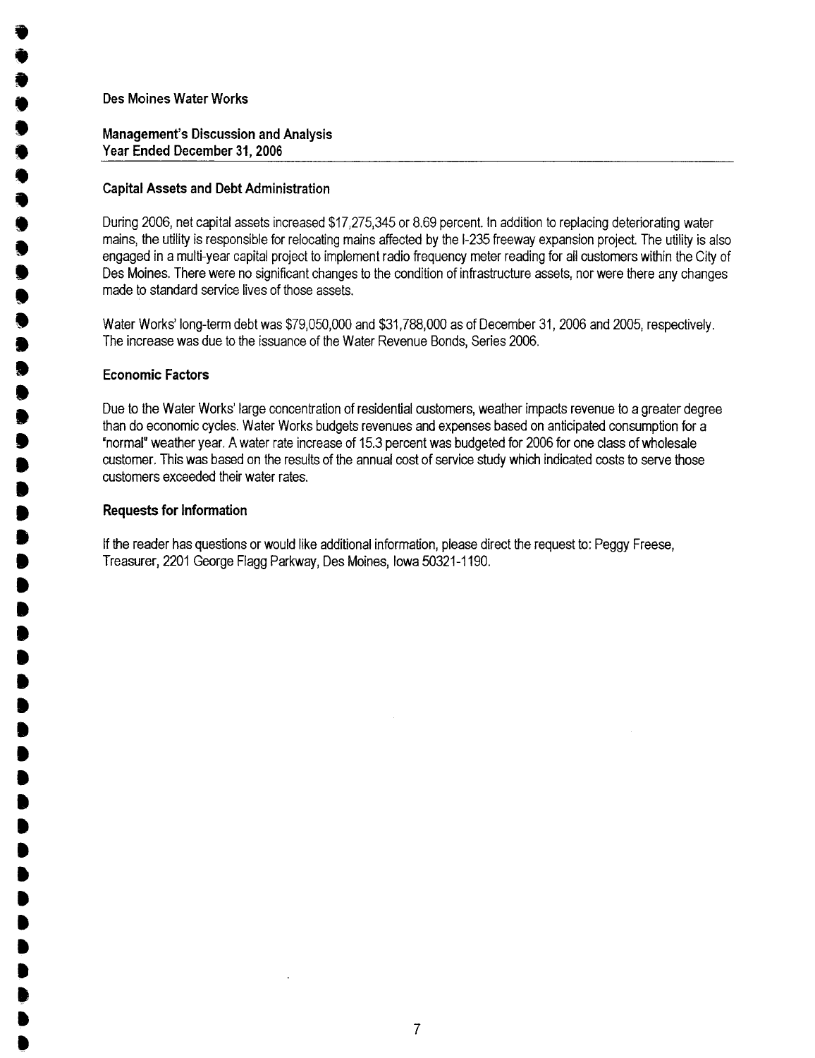**. .<br>.** .<br>.<br>. .<br>. .<br>. .<br>. .<br>. .<br>. .<br>. .<br>. .<br>. .<br>. .<br>. .<br>.<br>. .<br>.<br>. **.<br>. . .**<br>. **.**<br>. .<br>. **.**<br>. **.**<br>. **.**<br>. **. .** .<br>. .<br>. .<br>. **.** .<br>.<br>. .<br>. **. .** .<br>. .<br>. .<br>. .<br>. .<br>. .<br>. .<br>! .<br>! **.** .<br>D

## Management's Discussion and Analysis Year Ended December 31,2006

### Capital Assets and Debt Administration

During 2006, net capital assets increased \$17,275,345 or 8.69 percent. In addition to replacing deteriorating water mains, the utilty is responsible for relocating mains affected by the 1-235 freeway expansion project. The utility is also engaged in a multi-year capital project to implement radio frequency meter reading for all customers within the City of Des Moines. There were no significant changes to the condition of infrastructure assets, nor were there any changes made to standard service lives of those assets.

Water Works' long-term debt was \$79,050,000 and \$31,788,000 as of December 31,2006 and 2005, respectively. The increase was due to the issuance of the Water Revenue Bonds, Series 2006.

### Economic Factors

Due to the Water Works' large concentration of residential customers, weather impacts revenue to a greater degree than do economic cycles. Water Works budgets revenues and expenses based on anticipated consumption for a "normal. weather year. A water rate increase of 15.3 percent was budgeted for 2006 for one class of wholesale customer. This was based on the results of the annual cost of service study which indicated costs to serve those customers exceeded their water rates.

### Requests for Information

If the reader has questions or would like additional information, please direct the request to: Peggy Freese, Treasurer, 2201 George Flagg Parkway, Des Moines, Iowa 50321-1190.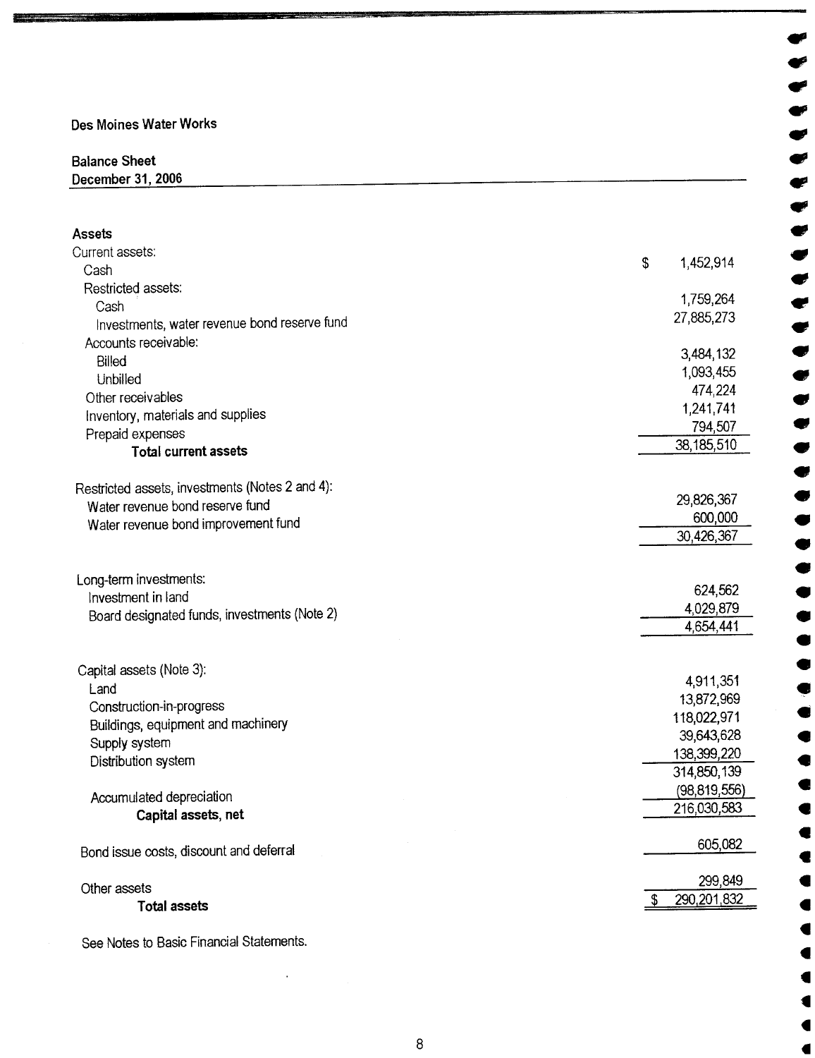Ii=-C -~, =-

# state of the Sheet . The Sheet . The Sheet . The Sheet . The Sheet . The Sheet . The Sheet . The Sheet . The Sheet . The Sheet . The Sheet . The Sheet . The Sheet . The Sheet . The Sheet . The Sheet . The Sheet . The Sheet

 $\overline{\text{December 31, 2006}}$ 

| <b>Assets</b>                                   |                     |
|-------------------------------------------------|---------------------|
| Current assets:                                 | 1,452,914           |
| Cash                                            | \$                  |
| Restricted assets:                              |                     |
| Cash                                            | 1,759,264           |
| Investments, water revenue bond reserve fund    | 27,885,273          |
| Accounts receivable:                            |                     |
| Billed                                          | 3,484,132           |
| Unbilled                                        | 1,093,455           |
| Other receivables                               | 474,224             |
| Inventory, materials and supplies               | 1,241,741           |
| Prepaid expenses                                | 794,507             |
| <b>Total current assets</b>                     | 38,185,510          |
|                                                 |                     |
| Restricted assets, investments (Notes 2 and 4): | 29,826,367          |
| Water revenue bond reserve fund                 | 600,000             |
| Water revenue bond improvement fund             | 30,426,367          |
|                                                 |                     |
| Long-term investments:                          |                     |
| Investment in land                              | 624,562             |
| Board designated funds, investments (Note 2)    | 4,029,879           |
|                                                 | 4,654,441           |
|                                                 |                     |
| Capital assets (Note 3):                        | 4,911,351           |
| Land                                            | 13,872,969          |
| Construction-in-progress                        | 118,022,971         |
| Buildings, equipment and machinery              | 39,643,628          |
| Supply system                                   | 138,399,220         |
| Distribution system                             | 314,850,139         |
|                                                 | (98, 819, 556)      |
| Accumulated depreciation                        | 216,030,583         |
| Capital assets, net                             |                     |
| Bond issue costs, discount and deferral         | 605,082             |
| Other assets                                    | 299,849             |
| <b>Total assets</b>                             | 290, 201, 832<br>\$ |
|                                                 |                     |

., ., .,

., .,

.,

.,

.,

..t.l

See Notes to Basic Financial Statements.

 $\ddot{\phantom{a}}$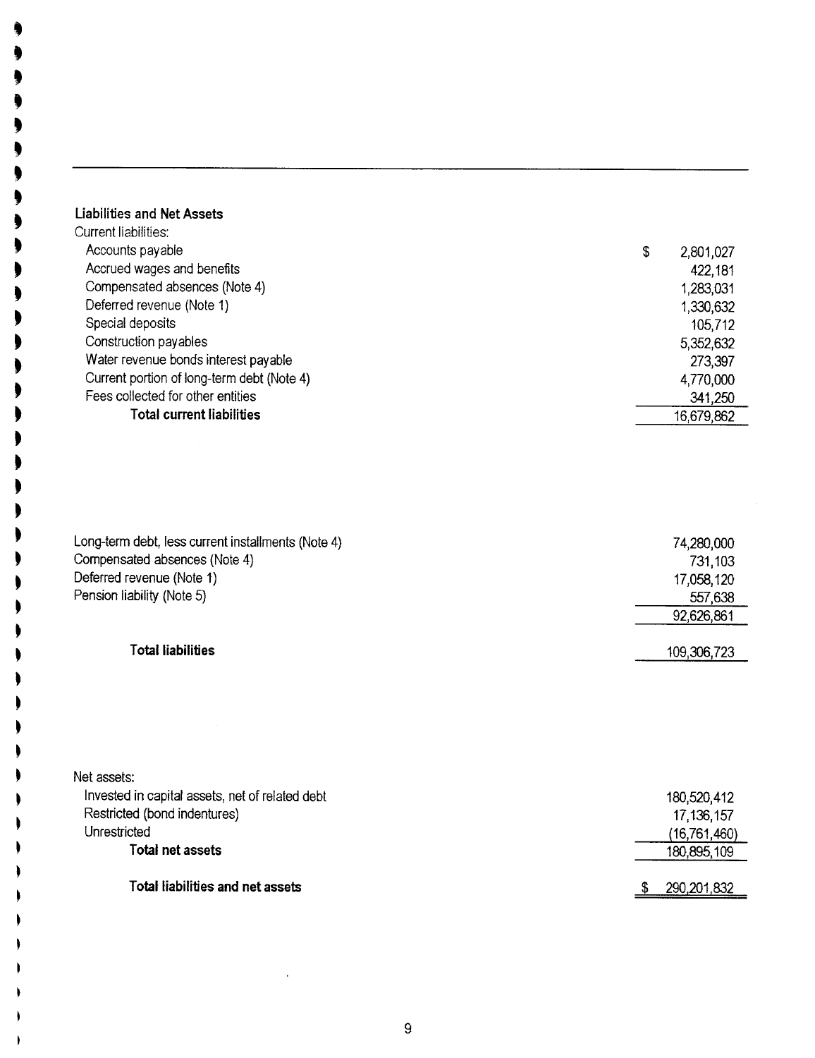## Liabilities and Net Assets

. . . . . . . . .

. . . .

. .

. . . .

~ ~

~ . I . .

I

| Current liabilities:                       |                 |
|--------------------------------------------|-----------------|
| Accounts payable                           | \$<br>2,801,027 |
| Accrued wages and benefits                 | 422,181         |
| Compensated absences (Note 4)              | 1,283,031       |
| Deferred revenue (Note 1)                  | 1,330,632       |
| Special deposits                           | 105,712         |
| Construction payables                      | 5,352,632       |
| Water revenue bonds interest payable       | 273,397         |
| Current portion of long-term debt (Note 4) | 4,770,000       |
| Fees collected for other entities          | 341,250         |
| Total current liabilities                  | 16,679,862      |
|                                            |                 |

| Long-term debt, less current installments (Note 4) | 74,280,000 |
|----------------------------------------------------|------------|
| Compensated absences (Note 4)                      | 731,103    |
| Deferred revenue (Note 1)                          | 17,058,120 |
| Pension liability (Note 5)                         | 557,638    |
|                                                    | 92,626,861 |

## Total liabilities 109,306,723

| Net assets:                                     |                |
|-------------------------------------------------|----------------|
| Invested in capital assets, net of related debt | 180,520,412    |
| Restricted (bond indentures)                    | 17, 136, 157   |
| Unrestricted                                    | (16, 761, 460) |
| Total net assets                                | 180,895,109    |
|                                                 |                |
| Total liabilities and net assets                | 290,201,832    |

92,626,861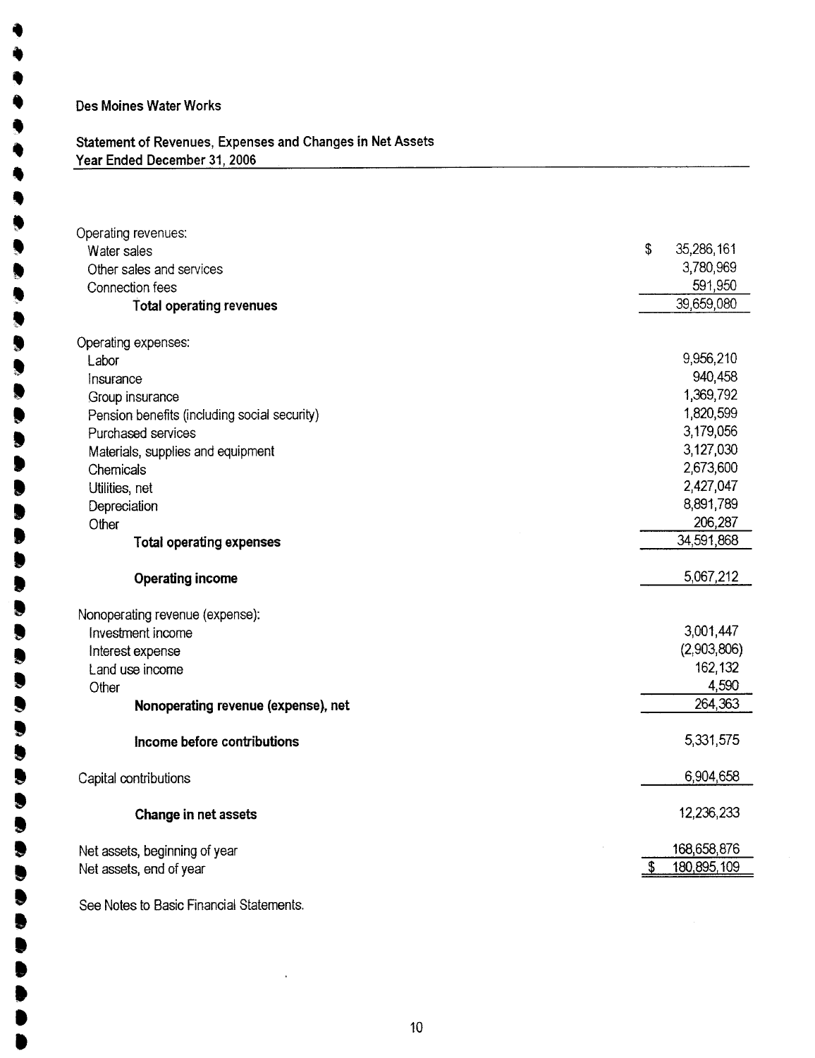. ,<br>V .<br>1

 $\bullet$ 

 $\begin{matrix} \bullet \\ \bullet \end{matrix}$ 

 $\bullet$ 

.

.

.

.

**.** 

**.** 

 $\bullet$ 

**.** 

**U** 

.<br>. .<br>. .<br>. .<br>.

.<br>.

## Statement of Revenues, Expenses and Changes in Net Assets Year Ended December 31, 2006

| Operating revenues:                          | \$<br>35,286,161      |
|----------------------------------------------|-----------------------|
| Water sales                                  |                       |
| Other sales and services                     | 3,780,969             |
| Connection fees                              | 591,950<br>39,659,080 |
| <b>Total operating revenues</b>              |                       |
| Operating expenses:                          |                       |
| Labor                                        | 9,956,210             |
| Insurance                                    | 940,458               |
| Group insurance                              | 1,369,792             |
| Pension benefits (including social security) | 1,820,599             |
| Purchased services                           | 3,179,056             |
| Materials, supplies and equipment            | 3,127,030             |
| Chemicals                                    | 2,673,600             |
| Utilities, net                               | 2,427,047             |
| Depreciation                                 | 8,891,789             |
| Other                                        | 206,287               |
| <b>Total operating expenses</b>              | 34,591,868            |
| Operating income                             | 5,067,212             |
| Nonoperating revenue (expense):              |                       |
| Investment income                            | 3,001,447             |
| Interest expense                             | (2,903,806)           |
| Land use income                              | 162,132               |
| Other                                        | 4,590                 |
| Nonoperating revenue (expense), net          | 264,363               |
| Income before contributions                  | 5,331,575             |
| Capital contributions                        | 6,904,658             |
| Change in net assets                         | 12,236,233            |
| Net assets, beginning of year                | 168,658,876           |
| Net assets, end of year                      | 180,895,109           |
| See Notes to Basic Financial Statements.     |                       |

 $\ddot{\phantom{a}}$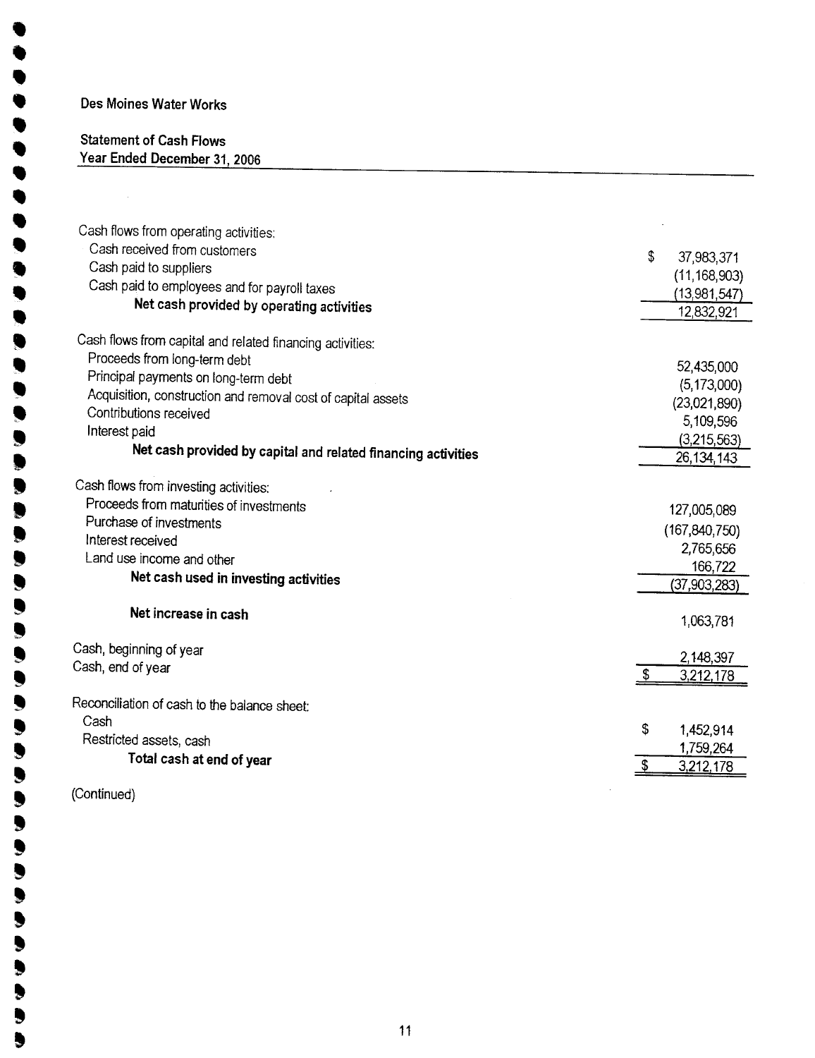. .<br>. **. .** .<br>. .<br>.

 $\bullet$ .. .<br>. **.** 

.. **.<br>.** 

..  $\bullet$ 

> $\bullet$  $\bullet$

**.** .

.<br>.<br>.

 $\bullet$ . . . . . . . l **, .** . . . .  $\bullet$ ,  $\bullet$ . ,. . . .

## Statement of Cash Flows Year Ended December 31, 2006

| Cash flows from operating activities:<br>Cash received from customers<br>Cash paid to suppliers<br>Cash paid to employees and for payroll taxes | \$<br>37,983,371<br>(11, 168, 903) |
|-------------------------------------------------------------------------------------------------------------------------------------------------|------------------------------------|
| Net cash provided by operating activities                                                                                                       | (13,981,547)                       |
|                                                                                                                                                 | 12,832,921                         |
| Cash flows from capital and related financing activities:                                                                                       |                                    |
| Proceeds from long-term debt                                                                                                                    | 52,435,000                         |
| Principal payments on long-term debt                                                                                                            | (5, 173, 000)                      |
| Acquisition, construction and removal cost of capital assets                                                                                    | (23,021,890)                       |
| Contributions received                                                                                                                          | 5,109,596                          |
| Interest paid                                                                                                                                   | (3,215,563)                        |
| Net cash provided by capital and related financing activities                                                                                   | 26, 134, 143                       |
| Cash flows from investing activities:<br>Proceeds from maturities of investments                                                                |                                    |
| Purchase of investments                                                                                                                         | 127,005,089                        |
| Interest received                                                                                                                               | (167, 840, 750)                    |
| Land use income and other                                                                                                                       | 2,765,656                          |
| Net cash used in investing activities                                                                                                           | 166,722                            |
|                                                                                                                                                 | (37,903,283)                       |
| Net increase in cash                                                                                                                            | 1,063,781                          |
| Cash, beginning of year                                                                                                                         | 2,148,397                          |
| Cash, end of year                                                                                                                               | \$<br>3,212,178                    |
| Reconciliation of cash to the balance sheet:<br>Cash                                                                                            |                                    |
| Restricted assets, cash                                                                                                                         | \$<br>1,452,914                    |
| Total cash at end of year                                                                                                                       | 1,759,264                          |
|                                                                                                                                                 | \$<br>3,212,178                    |
|                                                                                                                                                 |                                    |

(Continued)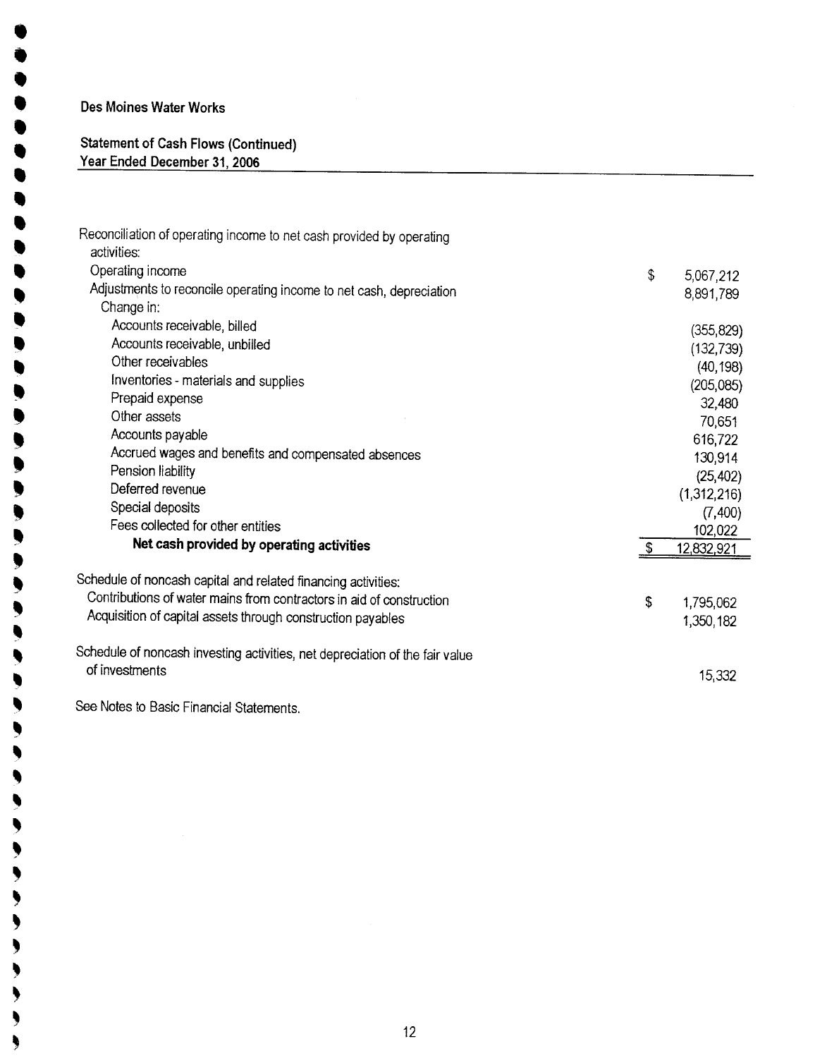$\bullet$ .<br>. .<br>. .<br>. .<br>. .<br>. **.** .<br>. .<br>. .<br>! .<br>.

**.** .. , .. **. y )** )<br>2 **)** <sup>s</sup> j t ,<br>! t , , ,

,

~ , ,

~ ,

~ ,

~ ~ , , , , ,

#### Statement of Cash Flows (Continued) Year Ended December 31,2006

| Reconciliation of operating income to net cash provided by operating<br>activities: |    |             |
|-------------------------------------------------------------------------------------|----|-------------|
| Operating income                                                                    |    |             |
| Adjustments to reconcile operating income to net cash, depreciation                 | \$ | 5,067,212   |
| Change in:                                                                          |    | 8,891,789   |
| Accounts receivable, billed                                                         |    |             |
|                                                                                     |    | (355, 829)  |
| Accounts receivable, unbilled                                                       |    | (132, 739)  |
| Other receivables                                                                   |    | (40, 198)   |
| Inventories - materials and supplies                                                |    | (205, 085)  |
| Prepaid expense                                                                     |    | 32,480      |
| Other assets                                                                        |    | 70,651      |
| Accounts payable                                                                    |    | 616,722     |
| Accrued wages and benefits and compensated absences                                 |    | 130,914     |
| Pension liability                                                                   |    | (25, 402)   |
| Deferred revenue                                                                    |    | (1,312,216) |
| Special deposits                                                                    |    | (7,400)     |
| Fees collected for other entities                                                   |    | 102,022     |
| Net cash provided by operating activities                                           | S  | 12,832,921  |
| Schedule of noncash capital and related financing activities:                       |    |             |
| Contributions of water mains from contractors in aid of construction                | \$ | 1,795,062   |
| Acquisition of capital assets through construction payables                         |    |             |
|                                                                                     |    | 1,350,182   |
| Schedule of noncash investing activities, net depreciation of the fair value        |    |             |
| of investments                                                                      |    |             |
|                                                                                     |    | 15,332      |
| See Notes to Rasic Financial Statements                                             |    |             |

Notes to Basic Financial Statements.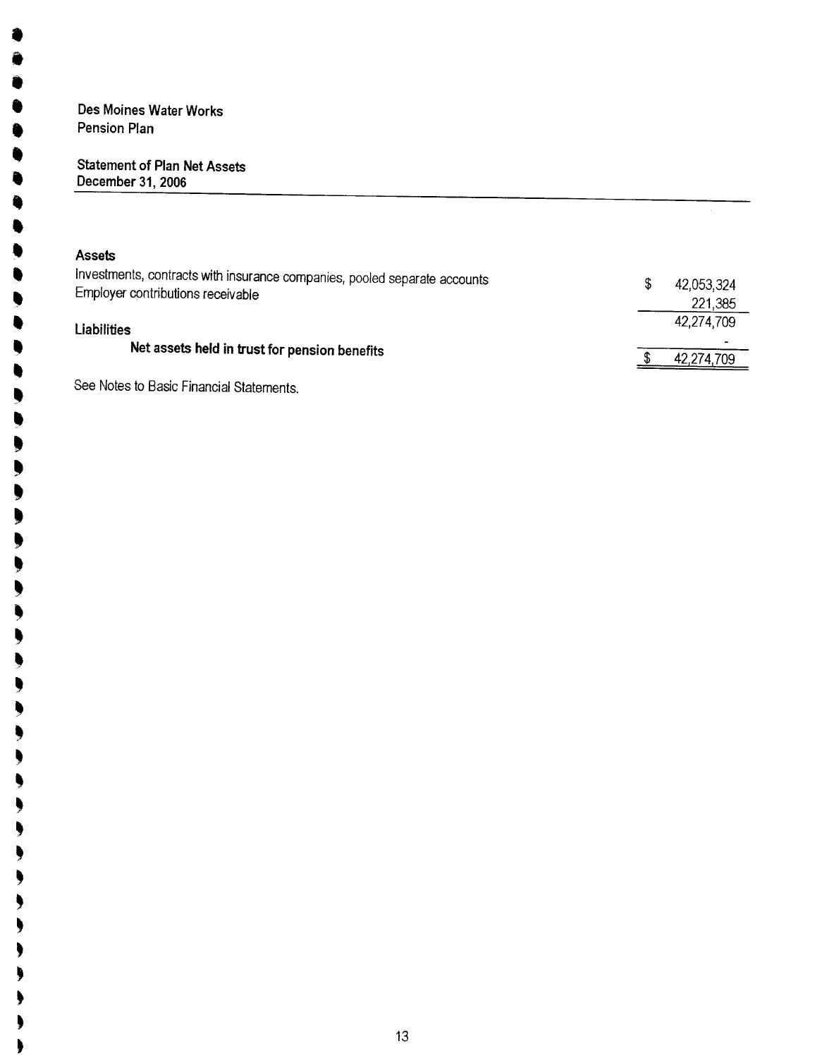## Des Moines Water Works Pension Plan

**.** .<br>0 .<br>. .<br>. .<br>. .<br>. **.** 

> **.** ,<br>0 ,<br>, ,<br>, .<br>! ,<br>,

. , ~<br>! ~<br>! . . . . . . . . . . . . . . . . . . . . . .

> ~ .

~ ~

#### Statement of Plan Net Assets December 31, 2006

| <b>Assets</b>                                                                                                  |                   |
|----------------------------------------------------------------------------------------------------------------|-------------------|
| Investments, contracts with insurance companies, pooled separate accounts<br>Employer contributions receivable | \$.<br>42,053,324 |
|                                                                                                                | 221,385           |
| <b>Liabilities</b>                                                                                             | 42,274,709        |
| Net assets held in trust for pension benefits                                                                  |                   |
|                                                                                                                | 42,274,709        |
| See Notes to Basic Financial Statements.                                                                       |                   |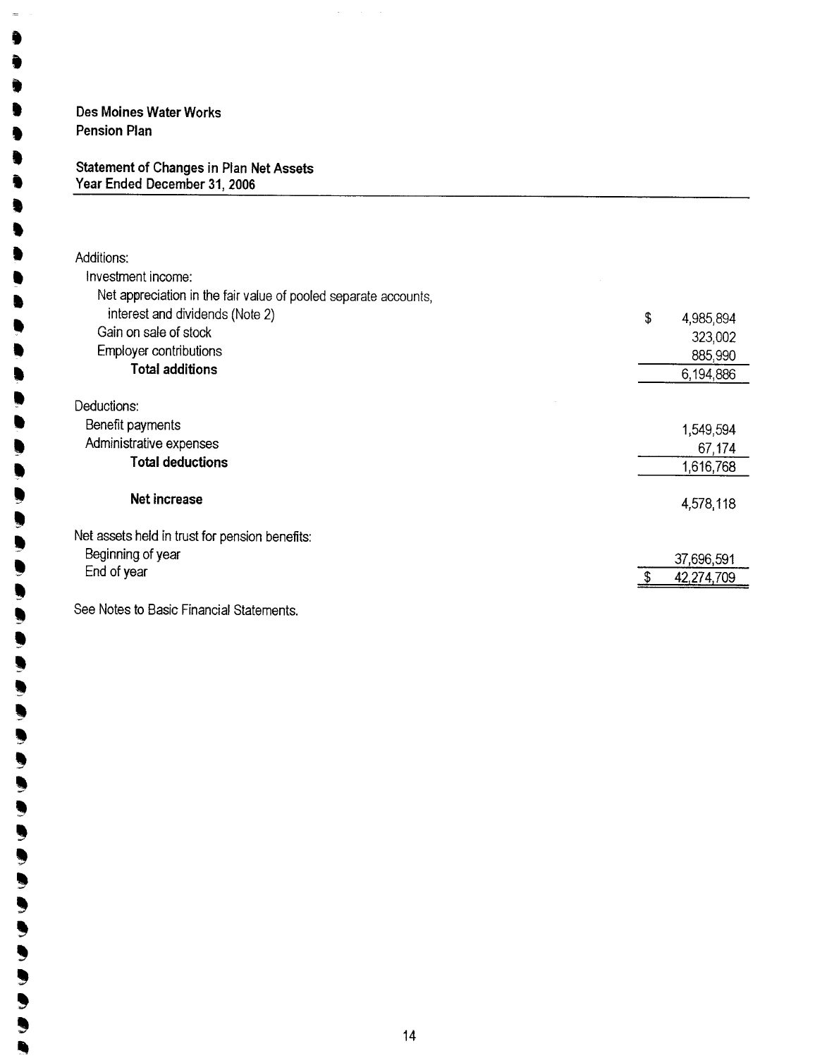Des Moines Water Works Pension Plan

........,.....,..

Ì ◣

...l.ll,,,"l"ll"-'lll"-'lllll~

€ ۱  $\bullet$  $\qquad \qquad \bullet$ ⋟ 

 $\blacksquare$ 

#### Statement of Changes in Plan Net Assets Year Ended December 31,2006

| Additions:                                                      |                 |
|-----------------------------------------------------------------|-----------------|
| Investment income:                                              |                 |
| Net appreciation in the fair value of pooled separate accounts, |                 |
| interest and dividends (Note 2)                                 | \$<br>4,985,894 |
| Gain on sale of stock                                           | 323,002         |
| <b>Employer contributions</b>                                   | 885,990         |
| <b>Total additions</b>                                          | 6,194,886       |
| Deductions:                                                     |                 |
| Benefit payments                                                | 1,549,594       |
| Administrative expenses                                         | 67,174          |
| <b>Total deductions</b>                                         | 1,616,768       |
| <b>Net increase</b>                                             | 4,578,118       |
| Net assets held in trust for pension benefits:                  |                 |
| Beginning of year                                               | 37,696,591      |
| End of year                                                     | 42,274,709      |
| See Notes to Basic Financial Statements.                        |                 |

÷,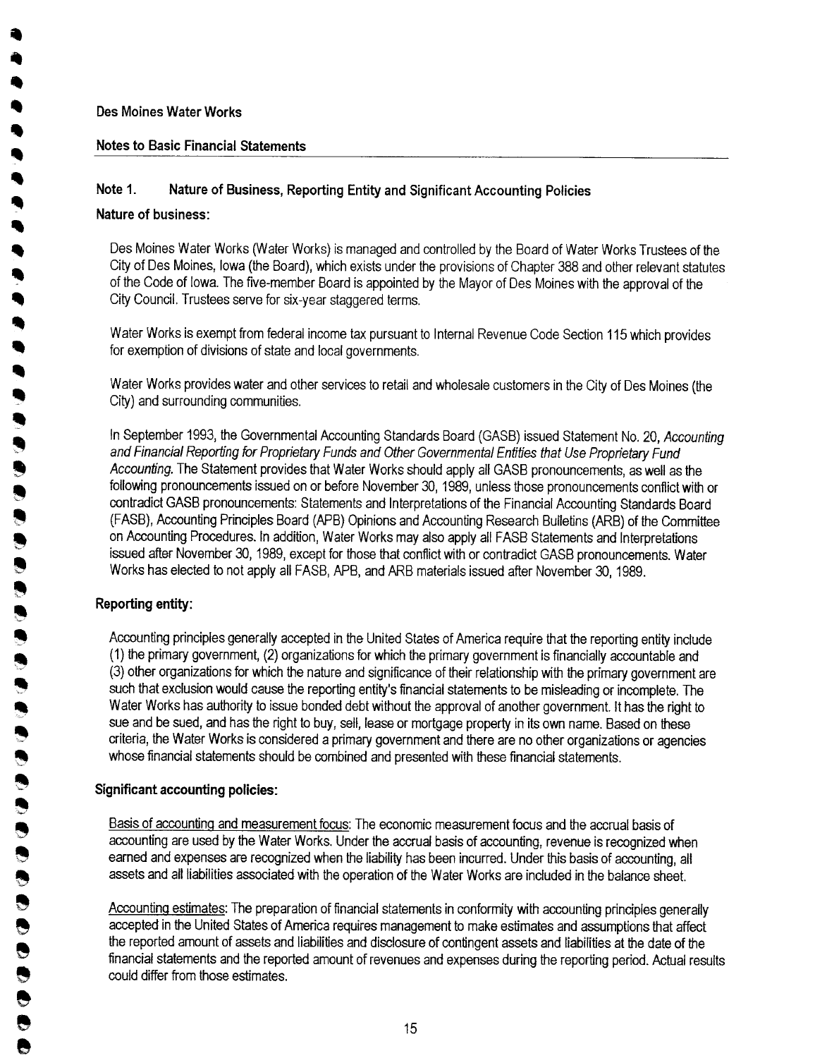.

.. .. " .. .. .<br>9 .. **,** 

.. .. .. ,<br>,

.. .. .. ..

~  $\ddot{ }$  $\bullet$ 

~ 8 .~

8 **.a** 

~ ~  $\ddot{\bullet}$  .

~ ~ ~ ~  $\ddot{\bullet}$ 

~ ~ e ~ e e e ě<br>O e .<br>.<br>.

## Notes to Basic Financial Statements

## Note 1. Nature of Business, Reporting Entity and Significant Accounting Policies

## Nature of business:

Des Moines Water Works (Water Works) is managed and controlled by the Board of Water Works Trustees of the City of Des Moines, Iowa (the Board), which exists under the provisions of Chapter 388 and other relevant statutes of the Code of Iowa. The five-member Board is appointed by the Mayor of Des Moines with the approval of the City Council. Trustees serve for six-year staggered terms.

Water Works is exempt from federal income tax pursuant to Internal Revenue Code Section 115 which provides for exemption of divisions of state and local governments.

Water Works provides water and other services to retail and wholesale customers in the City of Des Moines (the City) and surrounding communities.

In September 1993, the Governmental Accounting Standards Board (GASB) issued Statement No. 20, Accounting and Financial Reporting for Proprietary Funds and Other Governmental Entities that Use Proprietary Fund Accounting. The Statement provides that Water Works should apply all GASB pronouncements, as well as the following pronouncements issued on or before November 30, 1989, unless those pronouncements conflict with or contradict GASB pronouncements: Statements and Interpretations of the Financial Accounting Standards Board (FASB), Accounting Principles Board (APB) Opinions and Accounting Research Bulletins (ARB) of the Committee on Accounting Procedures. In addition, Water Works may also apply all FASB Statements and Interpretations issued after November 30, 1989, except for those that conflict with or contradict GASB pronouncements. Water Works has elected to not apply all FASB, APB, and ARB materials issued after November 30, 1989.

## Reporting entity:

Accounting principles generally accepted in the United States of America require that the reporting entity include (1) the primary government, (2) organizations for which the primary government is financially accountable and (3) other organizations for which the nature and significance of their relationship with the primary government are such that exclusion would cause the reporting entity's financial statements to be misleading or incomplete. The Water Works has authority to issue bonded debt without the approval of another government. It has the right to sue and be sued, and has the right to buy, sell, lease or mortgage property in its own name. Based on these criteria, the Water Works is considered a primary government and there are no other organizations or agencies whose financial statements should be combined and presented with these financial statements.

## Significant accounting policies:

Basis of accounting and measurement focus: The economic measurement focus and the accrual basis of accounting are used by the Water Works. Under the accrual basis of accounting, revenue is recognized when earned and expenses are recognized when the liability has been incurred. Under this basis of accounting, all assets and all liabílties associated with the operation of the Water Works are included in the balance sheet.

AccuntinQ estimates: The preparation of financial statements in conformity with accounting principles generally accepted in the United States of America requires management to make estimates and assumptions that affect the reported amount of assets and liabilities and disclosure of contingent assets and tiabilties at the date of the financial statements and the reported amount of revenues and expenses during the reporting period. Actual results could differ from those estimates.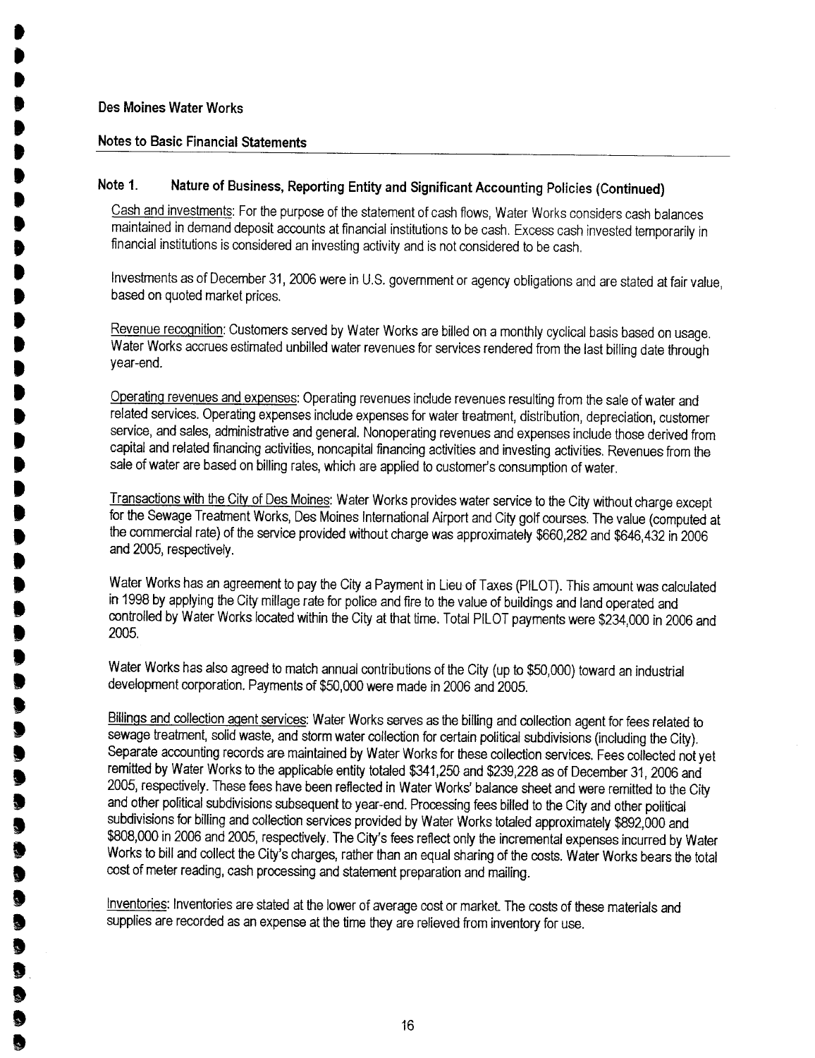. .<br>D **.** .<br>! .<br>. .<br>. .<br>. ,<br>, .<br>! .<br>. .<br>. ,<br>, ,<br>, ,<br>. .<br>. **. .**<br>. ,<br>) **. .** ,<br>.<br>. ,<br>, **. .** ,<br>.<br>. .<br>.<br>. **.** ,<br>.<br>. .<br>.<br>.

J<br>J .<br>. .<br>.<br>. .<br>.<br>. **, , ,** .<br>.<br>. **.** .<br>. .<br>. **.** ,<br>,<br>, **.** ?<br>.<br>. .<br>.<br>.

### Notes to Basic Financial Statements

## Note 1. Nature of Business, Reporting Entity and Significant Accounting Policies (Continued)

Cash and investments: For the purpose of the statement of cash flows, Water Works considers cash balances maintained in demand deposit accounts at financial institutions to be cash. Excess cash invested temporarily in financial institutions is considered an investing activity and is not considered to be cash.

Investments as of December 31,2006 were in U.S. government or agency obligations and are stated at fair value, based on quoted market prices.

Revenue recognition: Customers served by Water Works are billed on a monthly cyclical basis based on usage. Water Works accrues estimated unbiled water revenues for services rendered from the last billing date through year-end.

Operatinq revenues and expenses: Operating revenues include revenues resulting from the sale of water and related services. Operating expenses include expenses for water treatment, distribution, depreciation, customer service, and sales, administrative and general. Nonoperating revenues and expenses include those derived from capital and related financing activities, noncapital financing activities and investing activities. Revenues from the sale of water are based on billing rates, which are applied to customer's consumption of water.

Transactions with the City of Des Moines: Water Works provides water service to the City without charge except for the Sewage Treatment Works, Des Moines International Airport and City golf courses. The value (computed at the commercial rate) of the service provided without charge was approximately \$660,282 and \$646,432 in 2006 and 2005, respectively.

Water Works has an agreement to pay the City a Payment in Lieu of Taxes (PILOT). This amount was calculated in 1998 by applying the City millage rate for police and fire to the value of buildings and land operated and controlled by Water Works located within the City at that time. Total PILOT payments were \$234,000 in 2006 and 2005.

Water Works has also agreed to match annual contributions of the City (up to \$50,000) toward an industrial development corporation. Payments of \$50,000 were made in 2006 and 2005.

Billings and collection agent services: Water Works serves as the billing and collection agent for fees related to sewage treatment, solid waste, and storm water collection for certain political subdivisions (including the City). Separate accounting records are maintained by Water Works for these collection services. Fees collected not yet remitted by Water Works to the applicable entity totaled \$341,250 and \$239,228 as of December 31, 2006 and 2005, respectively. These fees have been reflected in Water Works' balance sheet and were remitted to the City and other political subdivisions subsequent to year-end. Processing fees biled to the City and other political subdivisions for biling and collection services provided by Water Works totaled approximately \$892,000 and \$88,000 in 2006 and 2005, respectively. The City's fees reflect only the incremental expenses incurred by Water Works to bill and collect the City's charges, rather than an equal sharing of the costs. Water Works bears the total cost of meter reading, cash processing and statement preparation and mailing.

Inventories: Inventories are stated at the lower of average cost or market. The costs of these materials and supplies are recorded as an expense at the time they are relieved from inventory for use.